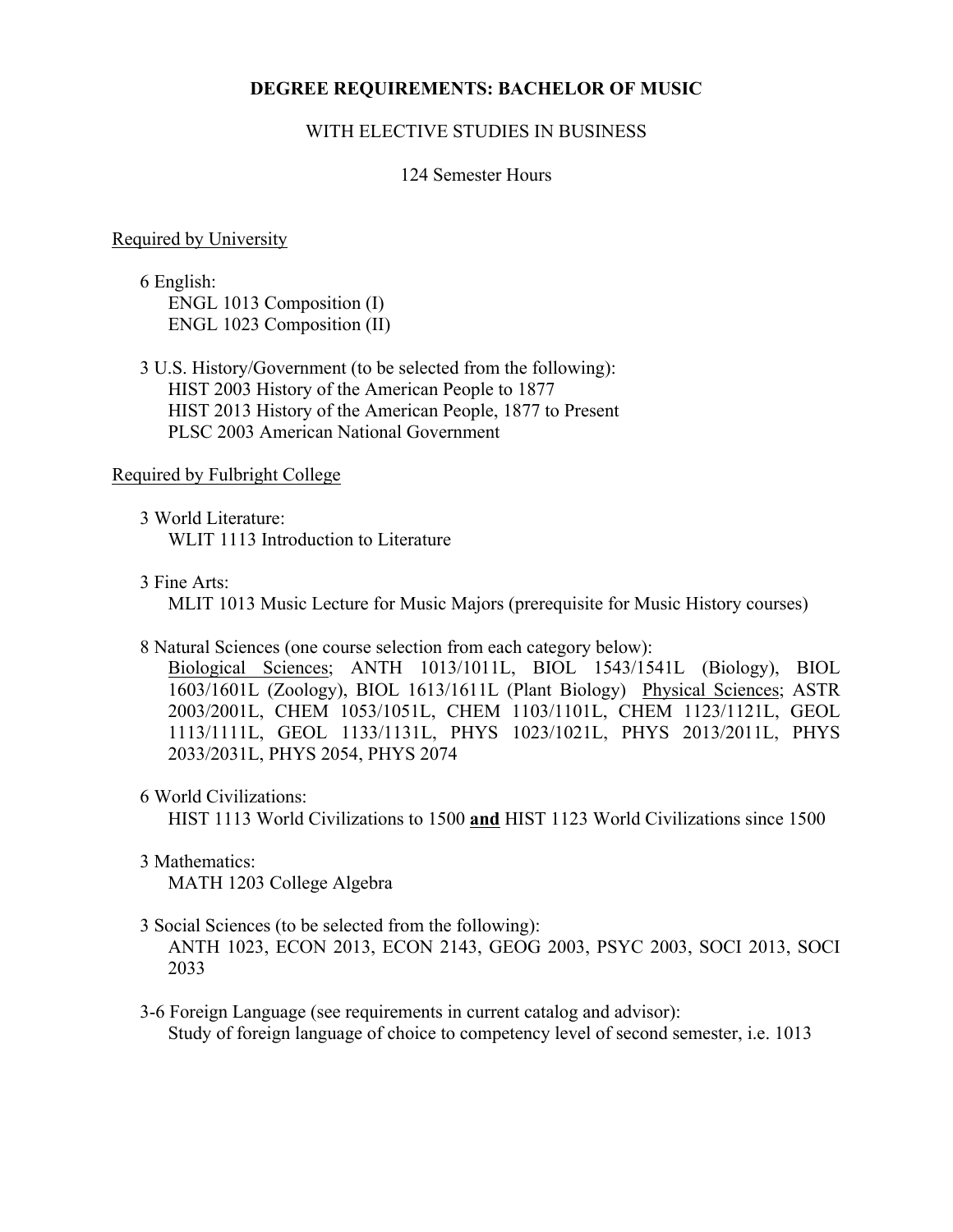## **DEGREE REQUIREMENTS: BACHELOR OF MUSIC**

## WITH ELECTIVE STUDIES IN BUSINESS

## 124 Semester Hours

#### Required by University

6 English: ENGL 1013 Composition (I) ENGL 1023 Composition (II)

3 U.S. History/Government (to be selected from the following): HIST 2003 History of the American People to 1877 HIST 2013 History of the American People, 1877 to Present PLSC 2003 American National Government

#### Required by Fulbright College

3 World Literature: WLIT 1113 Introduction to Literature

3 Fine Arts:

MLIT 1013 Music Lecture for Music Majors (prerequisite for Music History courses)

8 Natural Sciences (one course selection from each category below):

Biological Sciences; ANTH 1013/1011L, BIOL 1543/1541L (Biology), BIOL 1603/1601L (Zoology), BIOL 1613/1611L (Plant Biology) Physical Sciences; ASTR 2003/2001L, CHEM 1053/1051L, CHEM 1103/1101L, CHEM 1123/1121L, GEOL 1113/1111L, GEOL 1133/1131L, PHYS 1023/1021L, PHYS 2013/2011L, PHYS 2033/2031L, PHYS 2054, PHYS 2074

6 World Civilizations:

HIST 1113 World Civilizations to 1500 **and** HIST 1123 World Civilizations since 1500

- 3 Mathematics: MATH 1203 College Algebra
- 3 Social Sciences (to be selected from the following):

ANTH 1023, ECON 2013, ECON 2143, GEOG 2003, PSYC 2003, SOCI 2013, SOCI 2033

3-6 Foreign Language (see requirements in current catalog and advisor): Study of foreign language of choice to competency level of second semester, i.e. 1013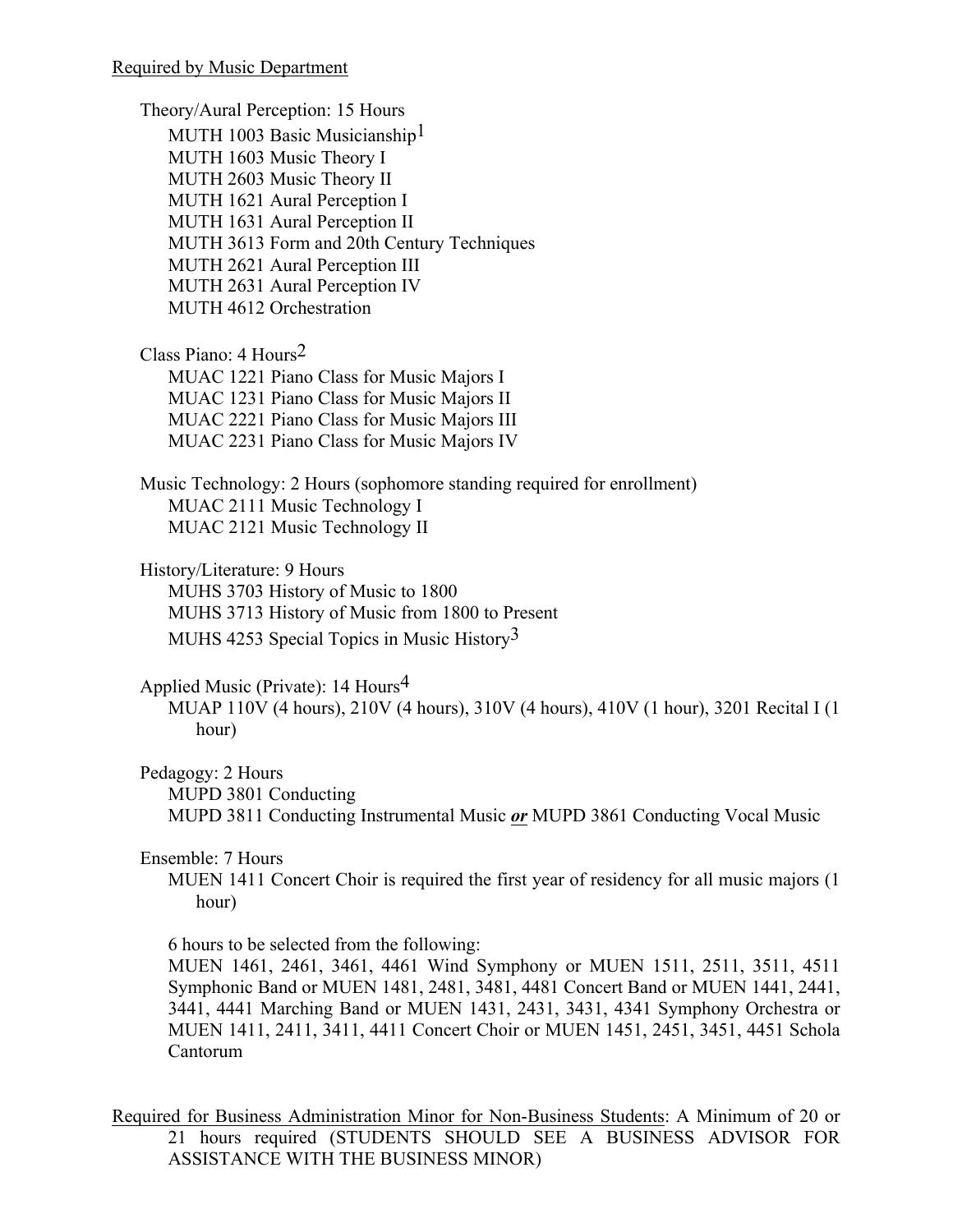Theory/Aural Perception: 15 Hours MUTH 1003 Basic Musicianship<sup>1</sup> MUTH 1603 Music Theory I MUTH 2603 Music Theory II MUTH 1621 Aural Perception I MUTH 1631 Aural Perception II MUTH 3613 Form and 20th Century Techniques MUTH 2621 Aural Perception III MUTH 2631 Aural Perception IV MUTH 4612 Orchestration

Class Piano: 4 Hours2 MUAC 1221 Piano Class for Music Majors I MUAC 1231 Piano Class for Music Majors II MUAC 2221 Piano Class for Music Majors III MUAC 2231 Piano Class for Music Majors IV

Music Technology: 2 Hours (sophomore standing required for enrollment) MUAC 2111 Music Technology I MUAC 2121 Music Technology II

History/Literature: 9 Hours

MUHS 3703 History of Music to 1800 MUHS 3713 History of Music from 1800 to Present MUHS 4253 Special Topics in Music History<sup>3</sup>

Applied Music (Private): 14 Hours4

MUAP 110V (4 hours), 210V (4 hours), 310V (4 hours), 410V (1 hour), 3201 Recital I (1 hour)

Pedagogy: 2 Hours

MUPD 3801 Conducting

MUPD 3811 Conducting Instrumental Music *or* MUPD 3861 Conducting Vocal Music

## Ensemble: 7 Hours

MUEN 1411 Concert Choir is required the first year of residency for all music majors (1 hour)

6 hours to be selected from the following:

MUEN 1461, 2461, 3461, 4461 Wind Symphony or MUEN 1511, 2511, 3511, 4511 Symphonic Band or MUEN 1481, 2481, 3481, 4481 Concert Band or MUEN 1441, 2441, 3441, 4441 Marching Band or MUEN 1431, 2431, 3431, 4341 Symphony Orchestra or MUEN 1411, 2411, 3411, 4411 Concert Choir or MUEN 1451, 2451, 3451, 4451 Schola Cantorum

Required for Business Administration Minor for Non-Business Students: A Minimum of 20 or 21 hours required (STUDENTS SHOULD SEE A BUSINESS ADVISOR FOR ASSISTANCE WITH THE BUSINESS MINOR)